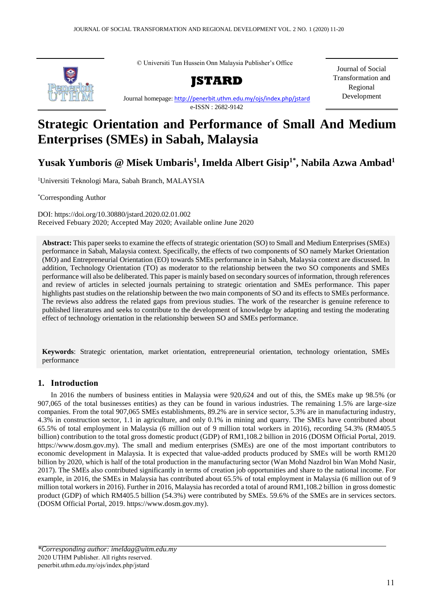© Universiti Tun Hussein Onn Malaysia Publisher's Office



Journal homepage[: http://penerbit.uthm.edu.my/ojs/index.php/jstard](http://penerbit.uthm.edu.my/ojs/index.php/jstard) e-ISSN : 2682-9142

Journal of Social Transformation and Regional Development

# **Strategic Orientation and Performance of Small And Medium Enterprises (SMEs) in Sabah, Malaysia**

**Yusak Yumboris @ Misek Umbaris<sup>1</sup> , Imelda Albert Gisip1\* , Nabila Azwa Ambad<sup>1</sup>**

<sup>1</sup>Universiti Teknologi Mara, Sabah Branch, MALAYSIA

\*Corresponding Author

DOI: https://doi.org/10.30880/jstard.2020.02.01.002 Received Febuary 2020; Accepted May 2020; Available online June 2020

**Abstract:** This paper seeks to examine the effects of strategic orientation (SO) to Small and Medium Enterprises (SMEs) performance in Sabah, Malaysia context. Specifically, the effects of two components of SO namely Market Orientation (MO) and Entrepreneurial Orientation (EO) towards SMEs performance in in Sabah, Malaysia context are discussed. In addition, Technology Orientation (TO) as moderator to the relationship between the two SO components and SMEs performance will also be deliberated. This paper is mainly based on secondary sources of information, through references and review of articles in selected journals pertaining to strategic orientation and SMEs performance. This paper highlights past studies on the relationship between the two main components of SO and its effects to SMEs performance. The reviews also address the related gaps from previous studies. The work of the researcher is genuine reference to published literatures and seeks to contribute to the development of knowledge by adapting and testing the moderating effect of technology orientation in the relationship between SO and SMEs performance.

**Keywords**: Strategic orientation, market orientation, entrepreneurial orientation, technology orientation, SMEs performance

# **1. Introduction**

In 2016 the numbers of business entities in Malaysia were 920,624 and out of this, the SMEs make up 98.5% (or 907,065 of the total businesses entities) as they can be found in various industries. The remaining 1.5% are large-size companies. From the total 907,065 SMEs establishments, 89.2% are in service sector, 5.3% are in manufacturing industry, 4.3% in construction sector, 1.1 in agriculture, and only 0.1% in mining and quarry. The SMEs have contributed about 65.5% of total employment in Malaysia (6 million out of 9 million total workers in 2016), recording 54.3% (RM405.5 billion) contribution to the total gross domestic product (GDP) of RM1,108.2 billion in 2016 (DOSM Official Portal, 2019. [https://www.dosm.gov.my\)](https://www.dosm.gov.my/). The small and medium enterprises (SMEs) are one of the most important contributors to economic development in Malaysia. It is expected that value-added products produced by SMEs will be worth RM120 billion by 2020, which is half of the total production in the manufacturing sector (Wan Mohd Nazdrol bin Wan Mohd Nasir, 2017). The SMEs also contributed significantly in terms of creation job opportunities and share to the national income. For example, in 2016, the SMEs in Malaysia has contributed about 65.5% of total employment in Malaysia (6 million out of 9 million total workers in 2016). Further in 2016, Malaysia has recorded a total of around RM1,108.2 billion in gross domestic product (GDP) of which RM405.5 billion (54.3%) were contributed by SMEs. 59.6% of the SMEs are in services sectors. (DOSM Official Portal, 2019. [https://www.dosm.gov.my\)](https://www.dosm.gov.my/).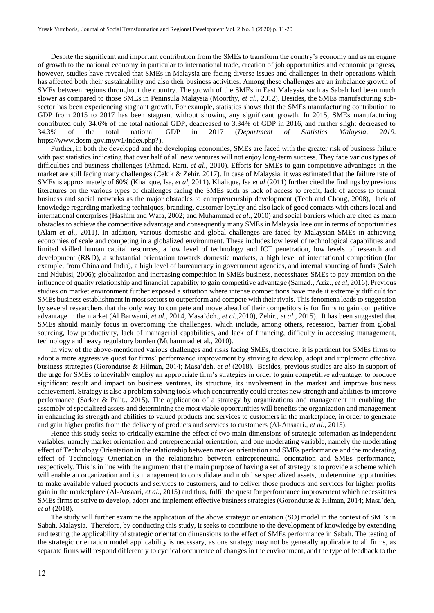Despite the significant and important contribution from the SMEs to transform the country's economy and as an engine of growth to the national economy in particular to international trade, creation of job opportunities and economic progress, however, studies have revealed that SMEs in Malaysia are facing diverse issues and challenges in their operations which has affected both their sustainability and also their business activities. Among these challenges are an imbalance growth of SMEs between regions throughout the country. The growth of the SMEs in East Malaysia such as Sabah had been much slower as compared to those SMEs in Peninsula Malaysia (Moorthy, *et al.,* 2012). Besides, the SMEs manufacturing subsector has been experiencing stagnant growth. For example, statistics shows that the SMEs manufacturing contribution to GDP from 2015 to 2017 has been stagnant without showing any significant growth. In 2015, SMEs manufacturing contributed only 34.6% of the total national GDP, deacreased to 3.34% of GDP in 2016, and further slight decreased to 34.3% of the total national GDP in 2017 (*[Department of Statistics Malaysia, 2019.](https://www.dosm.gov.my/v1/index.php?r=column/cthemeByCat&cat=159&bul_id=cEI0bklpZHJaTlhRNDB3d2ozbnFIUT09&menu_id=TE5CRUZCblh4ZTZMODZIbmk2aWRRQT09)*  [https://www.dosm.gov.my/v1/index.php?\)](https://www.dosm.gov.my/v1/index.php?r=column/cthemeByCat&cat=159&bul_id=cEI0bklpZHJaTlhRNDB3d2ozbnFIUT09&menu_id=TE5CRUZCblh4ZTZMODZIbmk2aWRRQT09).

Further, in both the developed and the developing economies, SMEs are faced with the greater risk of business failure with past statistics indicating that over half of all new ventures will not enjoy long-term success. They face various types of difficulties and business challenges (Ahmad, Rani, *et al.,* 2010). Efforts for SMEs to gain competitive advantages in the market are still facing many challenges (Cekik & Zehir, 2017). In case of Malaysia, it was estimated that the failure rate of SMEs is approximately of 60% (Khalique, Isa, *et al,* 2011). Khalique, Isa *et al* (2011) further cited the findings by previous literatures on the various types of challenges facing the SMEs such as lack of access to credit, lack of access to formal business and social networks as the major obstacles to entrepreneurship development (Teoh and Chong, 2008), lack of knowledge regarding marketing techniques, branding, customer loyalty and also lack of good contacts with others local and international enterprises (Hashim and Wafa, 2002; and Muhammad *et al*., 2010) and social barriers which are cited as main obstacles to achieve the competitive advantage and consequently many SMEs in Malaysia lose out in terms of opportunities (Alam *et al.,* 2011). In addition, various domestic and global challenges are faced by Malaysian SMEs in achieving economies of scale and competing in a globalized environment. These includes low level of technological capabilities and limited skilled human capital resources, a low level of technology and ICT penetration, low levels of research and development (R&D), a substantial orientation towards domestic markets, a high level of international competition (for example, from China and India), a high level of bureaucracy in government agencies, and internal sourcing of funds (Saleh and Ndubisi, 2006); globalization and increasing competition in SMEs business, necessitates SMEs to pay attention on the influence of quality relationship and financial capability to gain competitive advantage (Samad., Aziz., *et al,* 2016). Previous studies on market environment further exposed a situation where intense competitions have made it extremely difficult for SMEs business establishment in most sectors to outperform and compete with their rivals. This fenomena leads to suggestion by several researchers that the only way to compete and move ahead of their competitors is for firms to gain competitive advantage in the market (Al Barwami, *et al.,* 2014, Masa'deh., *et al.,*2010), Zehir., *et al.*, 2015). It has been suggested that SMEs should mainly focus in overcoming the challenges, which include, among others, recession, barrier from global sourcing, low productivity, lack of managerial capabilities, and lack of financing, difficulty in accessing management, technology and heavy regulatory burden (Muhammad et al., 2010).

In view of the above-mentioned various challenges and risks facing SMEs, therefore, it is pertinent for SMEs firms to adopt a more aggressive quest for firms' performance improvement by striving to develop, adopt and implement effective business strategies (Gorondutse & Hilman, 2014; Masa'deh, *et al* (2018). Besides, previous studies are also in support of the urge for SMEs to inevitably employ an appropriate firm's strategies in order to gain competitive advantage, to produce significant result and impact on business ventures, its structure, its involvement in the market and improve business achievement. Strategy is also a problem solving tools which concurrently could creates new strength and abilities to improve performance (Sarker & Palit., 2015). The application of a strategy by organizations and management in enabling the assembly of specialized assets and determining the most viable opportunities will benefits the organization and management in enhancing its strength and abilities to valued products and services to customers in the marketplace, in order to generate and gain higher profits from the delivery of products and services to customers (Al-Ansaari., *et al*., 2015).

Hence this study seeks to critically examine the effect of two main dimensions of strategic orientation as independent variables, namely market orientation and entrepreneurial orientation, and one moderating variable, namely the moderating effect of Technology Orientation in the relationship between market orientation and SMEs performance and the moderating effect of Technology Orientation in the relationship between entrepreneurial orientation and SMEs performance, respectively. This is in line with the argument that the main purpose of having a set of strategy is to provide a scheme which will enable an organization and its management to consolidate and mobilise specialized assets, to determine opportunities to make available valued products and services to customers, and to deliver those products and services for higher profits gain in the marketplace (Al-Ansaari, *et al*., 2015) and thus, fulfil the quest for performance improvement which necessitates SMEs firms to strive to develop, adopt and implement effective business strategies (Gorondutse & Hilman, 2014; Masa'deh, *et al* (2018).

The study will further examine the application of the above strategic orientation (SO) model in the context of SMEs in Sabah, Malaysia. Therefore, by conducting this study, it seeks to contribute to the development of knowledge by extending and testing the applicability of strategic orientation dimensions to the effect of SMEs performance in Sabah. The testing of the strategic orientation model applicability is necessary, as one strategy may not be generally applicable to all firms, as separate firms will respond differently to cyclical occurrence of changes in the environment, and the type of feedback to the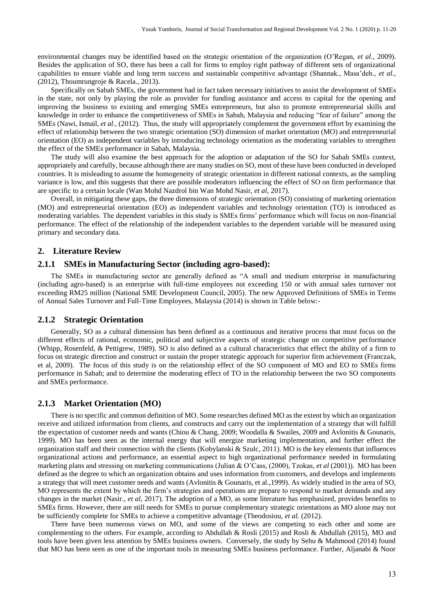environmental changes may be identified based on the strategic orientation of the organization (O'Regan, *et al.*, 2009). Besides the application of SO, there has been a call for firms to employ right pathway of different sets of organizational capabilities to ensure viable and long term success and sustainable competitive advantage (Shannak., Masa'deh., *et al.,*  (2012), Thoumrungroje & Racela., 2013).

Specifically on Sabah SMEs, the government had in fact taken necessary initiatives to assist the development of SMEs in the state, not only by playing the role as provider for funding assistance and access to capital for the opening and improving the business to existing and emerging SMEs entrepreneurs, but also to promote entrepreneurial skills and knowledge in order to enhance the competitiveness of SMEs in Sabah, Malaysia and reducing "fear of failure" among the SMEs (Nawi, Ismail, *et al.,* (2012). Thus, the study will appropriately complement the government effort by examining the effect of relationship between the two strategic orientation (SO) dimension of market orientation (MO) and entrepreneurial orientation (EO) as independent variables by introducing technology orientation as the moderating variables to strengthen the effect of the SMEs performance in Sabah, Malaysia.

The study will also examine the best approach for the adoption or adaptation of the SO for Sabah SMEs context, appropriately and carefully, because although there are many studies on SO, most of these have been conducted in developed countries. It is misleading to assume the homogeneity of strategic orientation in different national contexts, as the sampling variance is low, and this suggests that there are possible moderators influencing the effect of SO on firm performance that are specific to a certain locale (Wan Mohd Nazdrol bin Wan Mohd Nasir, *et al,* 2017).

Overall, in mitigating these gaps, the three dimensions of strategic orientation (SO) consisting of marketing orientation (MO) and entrepreneurial orientation (EO) as independent variables and technology orientation (TO) is introduced as moderating variables. The dependent variables in this study is SMEs firms' performance which will focus on non-financial performance. The effect of the relationship of the independent variables to the dependent variable will be measured using primary and secondary data.

### **2. Literature Review**

#### **2.1.1 SMEs in Manufacturing Sector (including agro-based):**

The SMEs in manufacturing sector are generally defined as "A small and medium enterprise in manufacturing (including agro-based) is an enterprise with full-time employees not exceeding 150 or with annual sales turnover not exceeding RM25 million (National SME Development Council, 2005). The new Approved Definitions of SMEs in Terms of Annual Sales Turnover and Full-Time Employees, Malaysia (2014) is shown in Table below:-

#### **2.1.2 Strategic Orientation**

Generally, SO as a cultural dimension has been defined as a continuous and iterative process that must focus on the different effects of rational, economic, political and subjective aspects of strategic change on competitive performance (Whipp, Rosenfeld, & Pettigrew, 1989). SO is also defined as a cultural characteristics that effect the ability of a firm to focus on strategic direction and construct or sustain the proper strategic approach for superior firm achievement (Franczak, et al, 2009). The focus of this study is on the relationship effect of the SO component of MO and EO to SMEs firms performance in Sabah; and to determine the moderating effect of TO in the relationship between the two SO components and SMEs performance.

## **2.1.3 Market Orientation (MO)**

There is no specific and common definition of MO. Some researches defined MO as the extent by which an organization receive and utilized information from clients, and constructs and carry out the implementation of a strategy that will fulfill the expectation of customer needs and wants (Chiou & Chang, 2009; Woodalla & Swailes, 2009 and Avlonitis & Gounaris, 1999). MO has been seen as the internal energy that will energize marketing implementation, and further effect the organization staff and their connection with the clients (Kobylanski & Szulc, 2011). MO is the key elements that influences organizational actions and performance, an essential aspect to high organizational performance needed in formulating marketing plans and stressing on marketing communications (Julian & O'Cass, (2000), Tzokas, *et al* (2001)). MO has been defined as the degree to which an organization obtains and uses information from customers, and develops and implements a strategy that will meet customer needs and wants (Avlonitis & Gounaris, et al.,1999). As widely studied in the area of SO, MO represents the extent by which the firm's strategies and operations are prepare to respond to market demands and any changes in the market (Nasir., *et al,* 2017). The adoption of a MO, as some literature has emphasized, provides benefits to SMEs firms. However, there are still needs for SMEs to pursue complementary strategic orientations as MO alone may not be sufficiently complete for SMEs to achieve a competitive advantage (Theodosiou, *et al.* (2012).

There have been numerous views on MO, and some of the views are competing to each other and some are complementing to the others. For example, according to Abdullah & Rosli (2015) and Rosli & Abdullah (2015), MO and tools have been given less attention by SMEs business owners. Conversely, the study by Sehu & Mahmood (2014) found that MO has been seen as one of the important tools in measuring SMEs business performance. Further, Aljanabi & Noor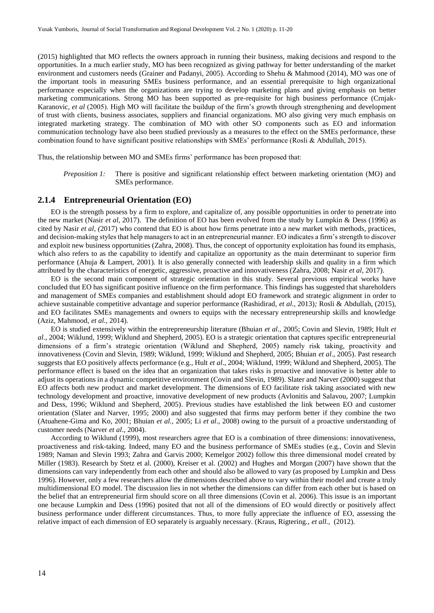(2015) highlighted that MO reflects the owners approach in running their business, making decisions and respond to the opportunities. In a much earlier study, MO has been recognized as giving pathway for better understanding of the market environment and customers needs (Grainer and Padanyi, 2005). According to Shehu & Mahmood (2014), MO was one of the important tools in measuring SMEs business performance, and an essential prerequisite to high organizational performance especially when the organizations are trying to develop marketing plans and giving emphasis on better marketing communications. Strong MO has been supported as pre-requisite for high business performance (Crnjak-Karanovic, *et al* (2005). High MO will facilitate the buildup of the firm's growth through strengthening and development of trust with clients, business associates, suppliers and financial organizations. MO also giving very much emphasis on integrated marketing strategy. The combination of MO with other SO components such as EO and information communication technology have also been studied previously as a measures to the effect on the SMEs performance, these combination found to have significant positive relationships with SMEs' performance (Rosli & Abdullah, 2015).

Thus, the relationship between MO and SMEs firms' performance has been proposed that:

*Preposition 1:* There is positive and significant relationship effect between marketing orientation (MO) and SMEs performance.

#### **2.1.4 Entrepreneurial Orientation (EO)**

EO is the strength possess by a firm to explore, and capitalize of, any possible opportunities in order to penetrate into the new market (Nasir *et al,* 2017). The definition of EO has been evolved from the study by Lumpkin & Dess (1996) as cited by Nasir *et al, (*2017) who contend that EO is about how firms penetrate into a new market with methods, practices, and decision-making styles that help managers to act in an entrepreneurial manner. EO indicates a firm's strength to discover and exploit new business opportunities (Zahra, 2008). Thus, the concept of opportunity exploitation has found its emphasis, which also refers to as the capability to identify and capitalize an opportunity as the main determinant to superior firm performance (Ahuja & Lampert, 2001). It is also generally connected with leadership skills and quality in a firm which attributed by the characteristics of energetic, aggressive, proactive and innovativeness (Zahra, 2008; Nasir *et al,* 2017).

EO is the second main component of strategic orientation in this study. Several previous empirical works have concluded that EO has significant positive influence on the firm performance. This findings has suggested that shareholders and management of SMEs companies and establishment should adopt EO framework and strategic alignment in order to achieve sustainable competitive advantage and superior performance (Rashidirad, *et al.,* 2013)*;* Rosli & Abdullah, (2015), and EO facilitates SMEs managements and owners to equips with the necessary entrepreneurship skills and knowledge (Aziz, Mahmood, *et al.,* 2014).

EO is studied extensively within the entrepreneurship literature (Bhuian *et al*., 2005; Covin and Slevin, 1989; Hult *et al*., 2004; Wiklund, 1999; Wiklund and Shepherd, 2005). EO is a strategic orientation that captures specific entrepreneurial dimensions of a firm's strategic orientation (Wiklund and Shepherd, 2005) namely risk taking, proactivity and innovativeness (Covin and Slevin, 1989; Wiklund, 1999; Wiklund and Shepherd, 2005; Bhuian *et al*., 2005). Past research suggests that EO positively affects performance (e.g., Hult *et al*., 2004; Wiklund, 1999; Wiklund and Shepherd, 2005). The performance effect is based on the idea that an organization that takes risks is proactive and innovative is better able to adjust its operations in a dynamic competitive environment (Covin and Slevin, 1989). Slater and Narver (2000) suggest that EO affects both new product and market development. The dimensions of EO facilitate risk taking associated with new technology development and proactive, innovative development of new products (Avlonitis and Salavou, 2007; Lumpkin and Dess, 1996; Wiklund and Shepherd, 2005). Previous studies have established the link between EO and customer orientation (Slater and Narver, 1995; 2000) and also suggested that firms may perform better if they combine the two (Atuahene-Gima and Ko, 2001; Bhuian *et al.*, 2005; Li *et al*., 2008) owing to the pursuit of a proactive understanding of customer needs (Narver *et al*., 2004).

According to Wiklund (1999), most researchers agree that EO is a combination of three dimensions: innovativeness, proactiveness and risk-taking. Indeed, many EO and the business performance of SMEs studies (e.g., Covin and Slevin 1989; Naman and Slevin 1993; Zahra and Garvis 2000; Kemelgor 2002) follow this three dimensional model created by Miller (1983). Research by Stetz et al. (2000), Kreiser et al. (2002) and Hughes and Morgan (2007) have shown that the dimensions can vary independently from each other and should also be allowed to vary (as proposed by Lumpkin and Dess 1996). However, only a few researchers allow the dimensions described above to vary within their model and create a truly multidimensional EO model. The discussion lies in not whether the dimensions can differ from each other but is based on the belief that an entrepreneurial firm should score on all three dimensions (Covin et al. 2006). This issue is an important one because Lumpkin and Dess (1996) posited that not all of the dimensions of EO would directly or positively affect business performance under different circumstances. Thus, to more fully appreciate the influence of EO, assessing the relative impact of each dimension of EO separately is arguably necessary. (Kraus, Rigtering., *et all.,* (2012).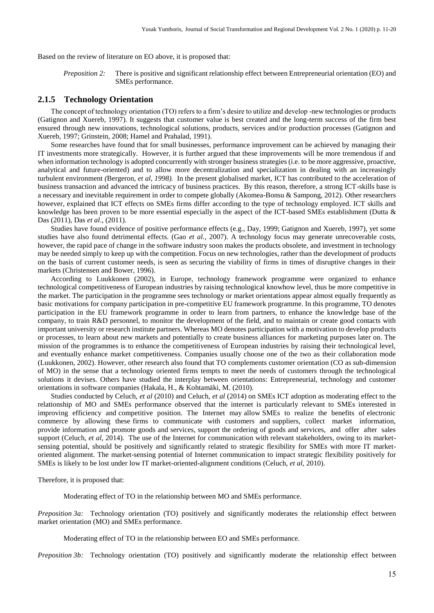Based on the review of literature on EO above, it is proposed that:

*Preposition 2:* There is positive and significant relationship effect between Entrepreneurial orientation (EO) and SMEs performance.

#### **2.1.5 Technology Orientation**

The concept of technology orientation (TO) refers to a firm's desire to utilize and develop -new technologies or products (Gatignon and Xuereb, 1997). It suggests that customer value is best created and the long-term success of the firm best ensured through new innovations, technological solutions, products, services and/or production processes (Gatignon and Xuereb, 1997; Grinstein, 2008; Hamel and Prahalad, 1991).

Some researches have found that for small businesses, performance improvement can be achieved by managing their IT investments more strategically. However, it is further argued that these improvements will be more tremendous if and when information technology is adopted concurrently with stronger business strategies (i.e. to be more aggressive, proactive, analytical and future-oriented) and to allow more decentralization and specialization in dealing with an increasingly turbulent environment *(*Bergeron, *et al, 1998).* In the present globalised market, ICT has contributed to the acceleration of business transaction and advanced the intricacy of business practices. By this reason, therefore, a strong ICT-skills base is a necessary and inevitable requirement in order to compete globally (Akomea-Bonsu & Sampong, 2012). Other researchers however, explained that ICT effects on SMEs firms differ according to the type of technology employed. ICT skills and knowledge has been proven to be more essential especially in the aspect of the ICT-based SMEs establishment (Dutta & Das (2011), Das *et al*., (2011).

Studies have found evidence of positive performance effects (e.g., Day, 1999; Gatignon and Xuereb, 1997), yet some studies have also found detrimental effects. (Gao *et al.*, 2007). A technology focus may generate unrecoverable costs, however, the rapid pace of change in the software industry soon makes the products obsolete, and investment in technology may be needed simply to keep up with the competition. Focus on new technologies, rather than the development of products on the basis of current customer needs, is seen as securing the viability of firms in times of disruptive changes in their markets (Christensen and Bower, 1996).

According to Luukkonen (2002), in Europe, technology framework programme were organized to enhance technological competitiveness of European industries by raising technological knowhow level, thus be more competitive in the market. The participation in the programme sees technology or market orientations appear almost equally frequently as basic motivations for company participation in pre-competitive EU framework programme. In this programme, TO denotes participation in the EU framework programme in order to learn from partners, to enhance the knowledge base of the company, to train R&D personnel, to monitor the development of the field, and to maintain or create good contacts with important university or research institute partners. Whereas MO denotes participation with a motivation to develop products or processes, to learn about new markets and potentially to create business alliances for marketing purposes later on. The mission of the programmes is to enhance the competitiveness of European industries by raising their technological level, and eventually enhance market competitiveness. Companies usually choose one of the two as their collaboration mode (Luukkonen, 2002). However, other research also found that TO complements customer orientation (CO as sub-dimension of MO) in the sense that a technology oriented firms tempts to meet the needs of customers through the technological solutions it devises. Others have studied the interplay between orientations: Entrepreneurial, technology and customer orientations in software companies (Hakala, H., & Kohtamäki, M. (2010).

Studies conducted by Celuch, *et al* (2010) and Celuch, *et al* (2014) on SMEs ICT adoption as moderating effect to the relationship of MO and SMEs performance observed that the internet is particularly relevant to SMEs interested in improving efficiency and competitive position. The Internet may allow SMEs to realize the benefits of electronic commerce by allowing these firms to communicate with customers and suppliers, collect market information, provide information and promote goods and services, support the ordering of goods and services, and offer after sales support (Celuch, *et al, 2014*). The use of the Internet for communication with relevant stakeholders, owing to its marketsensing potential, should be positively and significantly related to strategic flexibility for SMEs with more IT marketoriented alignment. The market-sensing potential of Internet communication to impact strategic flexibility positively for SMEs is likely to be lost under low IT market-oriented-alignment conditions (Celuch, *et al,* 2010).

Therefore, it is proposed that:

Moderating effect of TO in the relationship between MO and SMEs performance.

*Preposition 3a:* Technology orientation (TO) positively and significantly moderates the relationship effect between market orientation (MO) and SMEs performance.

Moderating effect of TO in the relationship between EO and SMEs performance.

*Preposition 3b:* Technology orientation (TO) positively and significantly moderate the relationship effect between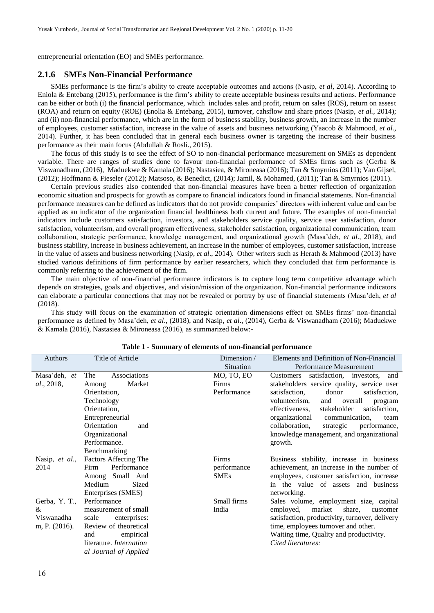entrepreneurial orientation (EO) and SMEs performance.

#### **2.1.6 SMEs Non-Financial Performance**

SMEs performance is the firm's ability to create acceptable outcomes and actions (Nasip, *et al*, 2014). According to Eniola & Entebang (2015), performance is the firm's ability to create acceptable business results and actions. Performance can be either or both (i) the financial performance, which includes sales and profit, return on sales (ROS), return on assest (ROA) and return on equity (ROE) (Enolia & Entebang, 2015), turnover, cahsflow and share prices (Nasip, *et al.,* 2014); and (ii) non-financial performance, which are in the form of business stability, business growth, an increase in the number of employees, customer satisfaction, increase in the value of assets and business networking (Yaacob & Mahmood, *et al.,*  2014). Further, it has been concluded that in general each business owner is targeting the increase of their business performance as their main focus (Abdullah & Rosli., 2015).

The focus of this study is to see the effect of SO to non-financial performance measurement on SMEs as dependent variable. There are ranges of studies done to favour non-financial performance of SMEs firms such as (Gerba & Viswanadham, (2016), Maduekwe & Kamala (2016); Nastasiea, & Mironeasa (2016); Tan & Smyrnios (2011); Van Gijsel, (2012); Hoffmann & Fieseler (2012); Matsoso, & Benedict, (2014); Jamil, & Mohamed, (2011); Tan & Smyrnios (2011).

Certain previous studies also contended that non-financial measures have been a better reflection of organization economic situation and prospects for growth as compare to financial indicators found in financial statements. Non-financial performance measures can be defined as indicators that do not provide companies' directors with inherent value and can be applied as an indicator of the organization financial healthiness both current and future. The examples of non-financial indicators include customers satisfaction, investors, and stakeholders service quality, service user satisfaction, donor satisfaction, volunteerism, and overall program effectiveness, stakeholder satisfaction, organizational communication, team collaboration, strategic performance, knowledge management, and organizational growth (Masa'deh, *et al*., 2018), and business stability, increase in business achievement, an increase in the number of employees, customer satisfaction, increase in the value of assets and business networking (Nasip*, et al*., 2014). Other writers such as Herath & Mahmood (2013) have studied various definitions of firm performance by earlier researchers, which they concluded that firm performance is commonly referring to the achievement of the firm.

The main objective of non-financial performance indicators is to capture long term competitive advantage which depends on strategies, goals and objectives, and vision/mission of the organization. Non-financial performance indicators can elaborate a particular connections that may not be revealed or portray by use of financial statements (Masa'deh, *et al* (2018).

This study will focus on the examination of strategic orientation dimensions effect on SMEs firms' non-financial performance as defined by Masa'deh, *et al*., (2018), and Nasip*, et al*., (2014), Gerba & Viswanadham (2016); Maduekwe & Kamala (2016), Nastasiea & Mironeasa (2016), as summarized below:-

| Authors            | Title of Article               | Dimension / | Elements and Definition of Non-Financial       |
|--------------------|--------------------------------|-------------|------------------------------------------------|
|                    |                                | Situation   | Performance Measurement                        |
| Masa'deh, et       | Associations<br>The            | MO, TO, EO  | satisfaction, investors, and<br>Customers      |
| <i>al.</i> , 2018, | Market<br>Among                | Firms       | stakeholders service quality, service user     |
|                    | Orientation,                   | Performance | satisfaction,<br>donor<br>satisfaction,        |
|                    | Technology                     |             | overall<br>volunteerism,<br>and<br>program     |
|                    | Orientation,                   |             | stakeholder<br>effectiveness,<br>satisfaction. |
|                    | Entrepreneurial                |             | organizational<br>communication,<br>team       |
|                    | Orientation<br>and             |             | collaboration,<br>strategic<br>performance,    |
|                    | Organizational                 |             | knowledge management, and organizational       |
|                    | Performance.                   |             | growth.                                        |
|                    | Benchmarking                   |             |                                                |
| Nasip, et al.,     | <b>Factors Affecting The</b>   | Firms       | Business stability, increase in business       |
| 2014               | Performance<br>Firm            | performance | achievement, an increase in the number of      |
|                    | Among Small And                | <b>SMEs</b> | employees, customer satisfaction, increase     |
|                    | Medium<br>Sized                |             | in the value of assets and business            |
|                    | Enterprises (SMES)             |             | networking.                                    |
| Gerba, Y. T.,      | Performance                    | Small firms | Sales volume, employment size, capital         |
| &                  | measurement of small           | India       | employed,<br>market<br>share,<br>customer      |
| Viswanadha         | scale<br>enterprises:          |             | satisfaction, productivity, turnover, delivery |
| m, P. (2016).      | Review of theoretical          |             | time, employees turnover and other.            |
|                    | empirical<br>and               |             | Waiting time, Quality and productivity.        |
|                    | literature. <i>Internation</i> |             | Cited literatures:                             |
|                    | al Journal of Applied          |             |                                                |

**Table 1 - [Summary](file:///F:/DBA%20SEM%202/SME%20Performance%20Measurement/Element%20of%20Non-Financial%20Performance.docx) of elements of non-financial performance**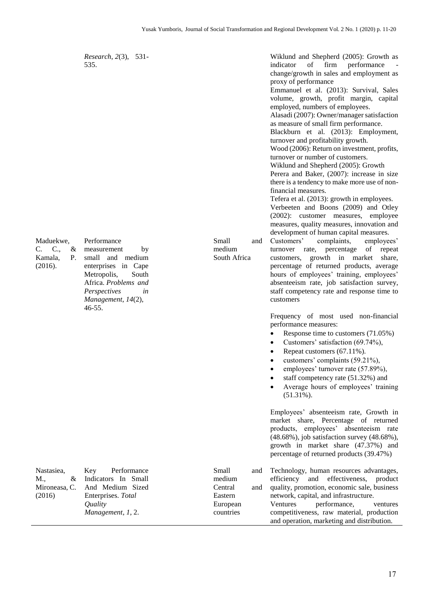*Research*, *2*(3), 531- 535.

Performance

46-55.

measurement by small and medium enterprises in Cape Metropolis, South Africa. *Problems and Perspectives in Management*, *14*(2),

Maduekwe, C. C., & Kamala, P. (2016).

Wiklund and Shepherd (2005): Growth as indicator of firm performance change/growth in sales and employment as proxy of performance Emmanuel et al. (2013): Survival, Sales volume, growth, profit margin, capital employed, numbers of employees. Alasadi (2007): Owner/manager satisfaction as measure of small firm performance. Blackburn et al. (2013): Employment, turnover and profitability growth. Wood (2006): Return on investment, profits, turnover or number of customers. Wiklund and Shepherd (2005): Growth Perera and Baker, (2007): increase in size there is a tendency to make more use of nonfinancial measures. Tefera et al. (2013): growth in employees. Verbeeten and Boons (2009) and Otley (2002): customer measures, employee measures, quality measures, innovation and development of human capital measures. Small and medium South Africa Customers' complaints, employees' turnover rate, percentage of repeat customers, growth in market share, percentage of returned products, average hours of employees' training, employees' absenteeism rate, job satisfaction survey, staff competency rate and response time to customers Frequency of most used non-financial performance measures: Response time to customers (71.05%) Customers' satisfaction (69.74%), Repeat customers (67.11%). customers' complaints (59.21%), employees' turnover rate (57.89%), staff competency rate (51.32%) and Average hours of employees' training  $(51.31\%)$ . Employees' absenteeism rate, Growth in market share, Percentage of returned products, employees' absenteeism rate (48.68%), job satisfaction survey (48.68%), growth in market share (47.37%) and percentage of returned products (39.47%) Small and medium Central and Technology, human resources advantages, efficiency and effectiveness, product quality, promotion, economic sale, business

Nastasiea, M., & Mironeasa, C. (2016) Key Performance Indicators In Small And Medium Sized Enterprises. *Total Quality Management*, *1*, 2. Eastern European countries network, capital, and infrastructure. Ventures performance, ventures competitiveness, raw material, production and operation, marketing and distribution.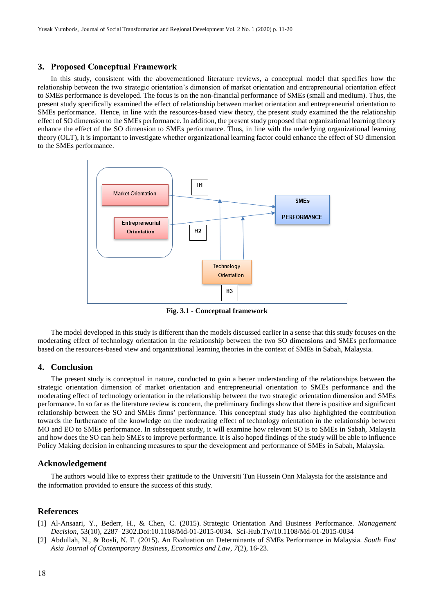#### **3. Proposed Conceptual Framework**

In this study, consistent with the abovementioned literature reviews, a conceptual model that specifies how the relationship between the two strategic orientation's dimension of market orientation and entrepreneurial orientation effect to SMEs performance is developed. The focus is on the non-financial performance of SMEs (small and medium). Thus, the present study specifically examined the effect of relationship between market orientation and entrepreneurial orientation to SMEs performance. Hence, in line with the resources-based view theory, the present study examined the the relationship effect of SO dimension to the SMEs performance. In addition, the present study proposed that organizational learning theory enhance the effect of the SO dimension to SMEs performance. Thus, in line with the underlying organizational learning theory (OLT), it is important to investigate whether organizational learning factor could enhance the effect of SO dimension to the SMEs performance.



**Fig. 3.1 - Conceptual framework**

The model developed in this study is different than the models discussed earlier in a sense that this study focuses on the moderating effect of technology orientation in the relationship between the two SO dimensions and SMEs performance based on the resources-based view and organizational learning theories in the context of SMEs in Sabah, Malaysia.

#### **4. Conclusion**

The present study is conceptual in nature, conducted to gain a better understanding of the relationships between the strategic orientation dimension of market orientation and entrepreneurial orientation to SMEs performance and the moderating effect of technology orientation in the relationship between the two strategic orientation dimension and SMEs performance. In so far as the literature review is concern, the preliminary findings show that there is positive and significant relationship between the SO and SMEs firms' performance. This conceptual study has also highlighted the contribution towards the furtherance of the knowledge on the moderating effect of technology orientation in the relationship between MO and EO to SMEs performance. In subsequent study, it will examine how relevant SO is to SMEs in Sabah, Malaysia and how does the SO can help SMEs to improve performance. It is also hoped findings of the study will be able to influence Policy Making decision in enhancing measures to spur the development and performance of SMEs in Sabah, Malaysia.

#### **Acknowledgement**

The authors would like to express their gratitude to the Universiti Tun Hussein Onn Malaysia for the assistance and the information provided to ensure the success of this study.

#### **References**

- [1] Al-Ansaari, Y., Bederr, H., & Chen, C. (2015). Strategic Orientation And Business Performance. *Management Decision,* 53(10), 2287–2302.Doi:10.1108/Md-01-2015-0034. [Sci-Hub.Tw/10.1108/Md-01-2015-0034](https://sci-hub.tw/10.1108/MD-01-2015-0034)
- [2] Abdullah, N., & Rosli, N. F. (2015). An Evaluation on Determinants of SMEs Performance in Malaysia. *South East Asia Journal of Contemporary Business, Economics and Law*, *7*(2), 16-23.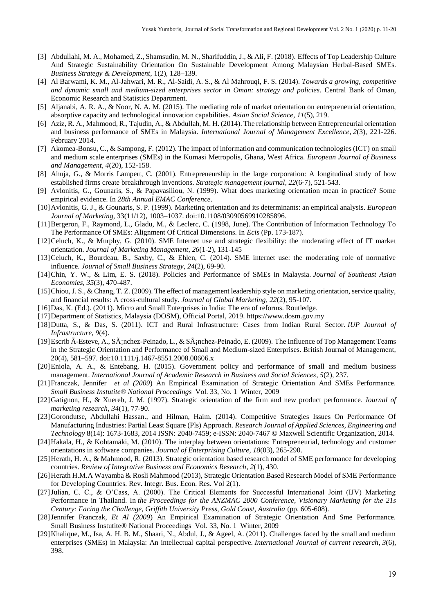- [3] Abdullahi, M. A., Mohamed, Z., Shamsudin, M. N., Sharifuddin, J., & Ali, F. (2018). Effects of Top Leadership Culture And Strategic Sustainability Orientation On Sustainable Development Among Malaysian Herbal-Based SMEs. *Business Strategy & Development*, 1(2), 128–139.
- [4] Al Barwami, K. M., Al-Jahwari, M. R., Al-Saidi, A. S., & Al Mahrouqi, F. S. (2014). *Towards a growing, competitive and dynamic small and medium-sized enterprises sector in Oman: strategy and policies*. Central Bank of Oman, Economic Research and Statistics Department.
- [5] Aljanabi, A. R. A., & Noor, N. A. M. (2015). The mediating role of market orientation on entrepreneurial orientation, absorptive capacity and technological innovation capabilities. *Asian Social Science*, *11*(5), 219.
- [6] Aziz, R. A., Mahmood, R., Tajudin, A., & Abdullah, M. H. (2014). The relationship between Entrepreneurial orientation and business performance of SMEs in Malaysia. *International Journal of Management Excellence*, *2*(3), 221-226. February 2014.
- [7] Akomea-Bonsu, C., & Sampong, F. (2012). The impact of information and communication technologies (ICT) on small and medium scale enterprises (SMEs) in the Kumasi Metropolis, Ghana, West Africa. *European Journal of Business and Management*, *4*(20), 152-158.
- [8] Ahuja, G., & Morris Lampert, C. (2001). Entrepreneurship in the large corporation: A longitudinal study of how established firms create breakthrough inventions. *Strategic management journal*, *22*(6‐7), 521-543.
- [9] Avlonitis, G., Gounaris, S., & Papavasiliou, N. (1999). What does marketing orientation mean in practice? Some empirical evidence. In *28th Annual EMAC Conference*.
- [10]Avlonitis, G. J., & Gounaris, S. P. (1999). Marketing orientation and its determinants: an empirical analysis. *European Journal of Marketing,* 33(11/12), 1003–1037. doi:10.1108/03090569910285896.
- [11]Bergeron, F., Raymond, L., Gladu, M., & Leclerc, C. (1998, June). The Contribution of Information Technology To The Performance Of SMEs: Alignment Of Critical Dimensions. In *Ecis* (Pp. 173-187).
- [12]Celuch, K., & Murphy, G. (2010). SME Internet use and strategic flexibility: the moderating effect of IT market orientation. *Journal of Marketing Management*, *26*(1-2), 131-145
- [13]Celuch, K., Bourdeau, B., Saxby, C., & Ehlen, C. (2014). SME internet use: the moderating role of normative influence. *Journal of Small Business Strategy*, *24*(2), 69-90.
- [14]Chin, Y. W., & Lim, E. S. (2018). Policies and Performance of SMEs in Malaysia. *Journal of Southeast Asian Economies*, *35*(3), 470-487.
- [15]Chiou, J. S., & Chang, T. Z. (2009). The effect of management leadership style on marketing orientation, service quality, and financial results: A cross-cultural study. *Journal of Global Marketing*, *22*(2), 95-107.
- [16]Das, K. (Ed.). (2011). Micro and Small Enterprises in India: The era of reforms. Routledge.
- [17]Department of Statistics, Malaysia (DOSM), Official Portal, 2019[. https://www.dosm.gov.my](https://www.dosm.gov.my/)
- [18]Dutta, S., & Das, S. (2011). ICT and Rural Infrastructure: Cases from Indian Rural Sector. *IUP Journal of Infrastructure*, *9*(4).
- [19] Escrib Ã-Esteve, A., Sánchez-Peinado, L., & Sánchez-Peinado, E. (2009). The Influence of Top Management Teams in the Strategic Orientation and Performance of Small and Medium-sized Enterprises. British Journal of Management, 20(4), 581–597. doi:10.1111/j.1467-8551.2008.00606.x
- [20]Eniola, A. A., & Entebang, H. (2015). Government policy and performance of small and medium business management. *International Journal of Academic Research in Business and Social Sciences*, *5*(2), 237.
- [21]Franczak, Jennifer *et al (2009*) An Empirical Examination of Strategic Orientation And SMEs Performance. *Small Business Instutite® National Proceedings* Vol. 33, No. 1 Winter, 2009
- [22]Gatignon, H., & Xuereb, J. M. (1997). Strategic orientation of the firm and new product performance. *Journal of marketing research*, *34*(1), 77-90.
- [23]Gorondutse, Abdullahi Hassan., and Hilman, Haim. (2014). Competitive Strategies Issues On Performance Of Manufacturing Industries: Partial Least Square (Pls) Approach. *Research Journal of Applied Sciences, Engineering and Technology* 8(14): 1673-1683, 2014 ISSN: 2040-7459; e-ISSN: 2040-7467 © Maxwell Scientific Organization, 2014.
- [24]Hakala, H., & Kohtamäki, M. (2010). The interplay between orientations: Entrepreneurial, technology and customer orientations in software companies. *Journal of Enterprising Culture*, *18*(03), 265-290.
- [25]Herath, H. A., & Mahmood, R. (2013). Strategic orientation based research model of SME performance for developing countries. *Review of Integrative Business and Economics Research*, *2*(1), 430.
- [26]Herath H.M.A Wayamba & Rosli Mahmood (2013), Strategic Orientation Based Research Model of SME Performance for Developing Countries. Rev. Integr. Bus. Econ. Res. Vol 2(1).
- [27]Julian, C. C., & O'Cass, A. (2000). The Critical Elements for Successful International Joint (IJV) Marketing Performance in Thailand. In *the Proceedings for the ANZMAC 2000 Conference, Visionary Marketing for the 21s Century: Facing the Challenge, Griffith University Press, Gold Coast, Australia* (pp. 605-608).
- [28]Jennifer Franczak, *Et Al (2009*) An Empirical Examination of Strategic Orientation And Sme Performance. Small Business Instutite® National Proceedings Vol. 33, No. 1 Winter, 2009
- [29]Khalique, M., Isa, A. H. B. M., Shaari, N., Abdul, J., & Ageel, A. (2011). Challenges faced by the small and medium enterprises (SMEs) in Malaysia: An intellectual capital perspective. *International Journal of current research*, *3*(6), 398.